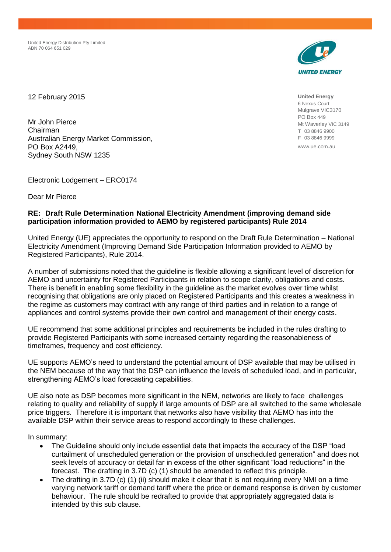United Energy Distribution Pty Limited ABN 70 064 651 029



12 February 2015

Mr John Pierce Chairman Australian Energy Market Commission, PO Box A2449, Sydney South NSW 1235

Electronic Lodgement – ERC0174

Dear Mr Pierce

# **RE: Draft Rule Determination National Electricity Amendment (improving demand side participation information provided to AEMO by registered participants) Rule 2014**

United Energy (UE) appreciates the opportunity to respond on the Draft Rule Determination – National Electricity Amendment (Improving Demand Side Participation Information provided to AEMO by Registered Participants), Rule 2014.

A number of submissions noted that the guideline is flexible allowing a significant level of discretion for AEMO and uncertainty for Registered Participants in relation to scope clarity, obligations and costs. There is benefit in enabling some flexibility in the guideline as the market evolves over time whilst recognising that obligations are only placed on Registered Participants and this creates a weakness in the regime as customers may contract with any range of third parties and in relation to a range of appliances and control systems provide their own control and management of their energy costs.

UE recommend that some additional principles and requirements be included in the rules drafting to provide Registered Participants with some increased certainty regarding the reasonableness of timeframes, frequency and cost efficiency.

UE supports AEMO's need to understand the potential amount of DSP available that may be utilised in the NEM because of the way that the DSP can influence the levels of scheduled load, and in particular, strengthening AEMO's load forecasting capabilities.

UE also note as DSP becomes more significant in the NEM, networks are likely to face challenges relating to quality and reliability of supply if large amounts of DSP are all switched to the same wholesale price triggers. Therefore it is important that networks also have visibility that AEMO has into the available DSP within their service areas to respond accordingly to these challenges.

In summary:

- The Guideline should only include essential data that impacts the accuracy of the DSP "load" curtailment of unscheduled generation or the provision of unscheduled generation" and does not seek levels of accuracy or detail far in excess of the other significant "load reductions" in the forecast. The drafting in 3.7D (c) (1) should be amended to reflect this principle.
- The drafting in 3.7D (c) (1) (ii) should make it clear that it is not requiring every NMI on a time varying network tariff or demand tariff where the price or demand response is driven by customer behaviour. The rule should be redrafted to provide that appropriately aggregated data is intended by this sub clause.

**United Energy** 6 Nexus Court Mulgrave VIC3170 PO Box 449 Mt Waverley VIC 3149 T 03 8846 9900 F 03 8846 9999

www.ue.com.au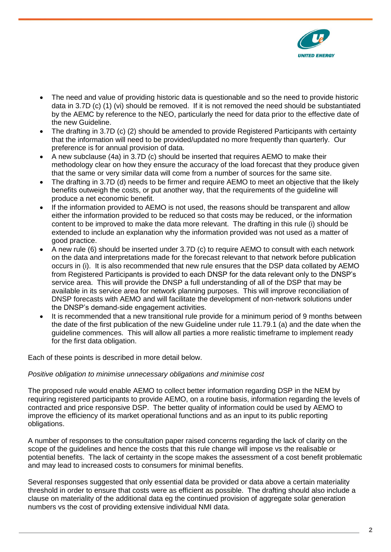

- The need and value of providing historic data is questionable and so the need to provide historic data in 3.7D (c) (1) (vi) should be removed. If it is not removed the need should be substantiated by the AEMC by reference to the NEO, particularly the need for data prior to the effective date of the new Guideline.
- The drafting in 3.7D (c) (2) should be amended to provide Registered Participants with certainty that the information will need to be provided/updated no more frequently than quarterly. Our preference is for annual provision of data.
- A new subclause (4a) in 3.7D (c) should be inserted that requires AEMO to make their methodology clear on how they ensure the accuracy of the load forecast that they produce given that the same or very similar data will come from a number of sources for the same site.
- The drafting in 3.7D (d) needs to be firmer and require AEMO to meet an objective that the likely benefits outweigh the costs, or put another way, that the requirements of the guideline will produce a net economic benefit.
- If the information provided to AEMO is not used, the reasons should be transparent and allow either the information provided to be reduced so that costs may be reduced, or the information content to be improved to make the data more relevant. The drafting in this rule (i) should be extended to include an explanation why the information provided was not used as a matter of good practice.
- A new rule (6) should be inserted under 3.7D (c) to require AEMO to consult with each network on the data and interpretations made for the forecast relevant to that network before publication occurs in (i). It is also recommended that new rule ensures that the DSP data collated by AEMO from Registered Participants is provided to each DNSP for the data relevant only to the DNSP's service area. This will provide the DNSP a full understanding of all of the DSP that may be available in its service area for network planning purposes. This will improve reconciliation of DNSP forecasts with AEMO and will facilitate the development of non-network solutions under the DNSP's demand-side engagement activities.
- It is recommended that a new transitional rule provide for a minimum period of 9 months between the date of the first publication of the new Guideline under rule 11.79.1 (a) and the date when the guideline commences. This will allow all parties a more realistic timeframe to implement ready for the first data obligation.

Each of these points is described in more detail below.

# *Positive obligation to minimise unnecessary obligations and minimise cost*

The proposed rule would enable AEMO to collect better information regarding DSP in the NEM by requiring registered participants to provide AEMO, on a routine basis, information regarding the levels of contracted and price responsive DSP. The better quality of information could be used by AEMO to improve the efficiency of its market operational functions and as an input to its public reporting obligations.

A number of responses to the consultation paper raised concerns regarding the lack of clarity on the scope of the guidelines and hence the costs that this rule change will impose vs the realisable or potential benefits. The lack of certainty in the scope makes the assessment of a cost benefit problematic and may lead to increased costs to consumers for minimal benefits.

Several responses suggested that only essential data be provided or data above a certain materiality threshold in order to ensure that costs were as efficient as possible. The drafting should also include a clause on materiality of the additional data eg the continued provision of aggregate solar generation numbers vs the cost of providing extensive individual NMI data.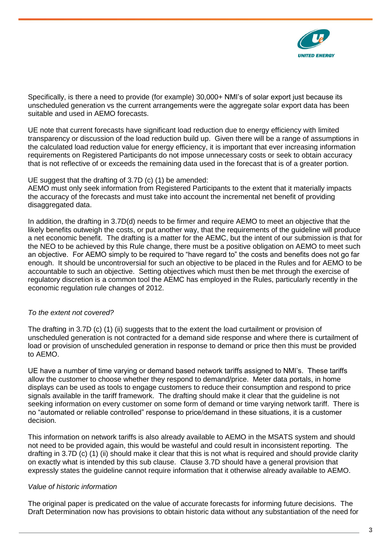

Specifically, is there a need to provide (for example) 30,000+ NMI's of solar export just because its unscheduled generation vs the current arrangements were the aggregate solar export data has been suitable and used in AEMO forecasts.

UE note that current forecasts have significant load reduction due to energy efficiency with limited transparency or discussion of the load reduction build up. Given there will be a range of assumptions in the calculated load reduction value for energy efficiency, it is important that ever increasing information requirements on Registered Participants do not impose unnecessary costs or seek to obtain accuracy that is not reflective of or exceeds the remaining data used in the forecast that is of a greater portion.

### UE suggest that the drafting of 3.7D (c) (1) be amended:

AEMO must only seek information from Registered Participants to the extent that it materially impacts the accuracy of the forecasts and must take into account the incremental net benefit of providing disaggregated data.

In addition, the drafting in 3.7D(d) needs to be firmer and require AEMO to meet an objective that the likely benefits outweigh the costs, or put another way, that the requirements of the guideline will produce a net economic benefit. The drafting is a matter for the AEMC, but the intent of our submission is that for the NEO to be achieved by this Rule change, there must be a positive obligation on AEMO to meet such an objective. For AEMO simply to be required to "have regard to" the costs and benefits does not go far enough. It should be uncontroversial for such an objective to be placed in the Rules and for AEMO to be accountable to such an objective. Setting objectives which must then be met through the exercise of regulatory discretion is a common tool the AEMC has employed in the Rules, particularly recently in the economic regulation rule changes of 2012.

# *To the extent not covered?*

The drafting in 3.7D (c) (1) (ii) suggests that to the extent the load curtailment or provision of unscheduled generation is not contracted for a demand side response and where there is curtailment of load or provision of unscheduled generation in response to demand or price then this must be provided to AEMO.

UE have a number of time varying or demand based network tariffs assigned to NMI's. These tariffs allow the customer to choose whether they respond to demand/price. Meter data portals, in home displays can be used as tools to engage customers to reduce their consumption and respond to price signals available in the tariff framework. The drafting should make it clear that the guideline is not seeking information on every customer on some form of demand or time varying network tariff. There is no "automated or reliable controlled" response to price/demand in these situations, it is a customer decision.

This information on network tariffs is also already available to AEMO in the MSATS system and should not need to be provided again, this would be wasteful and could result in inconsistent reporting. The drafting in 3.7D (c) (1) (ii) should make it clear that this is not what is required and should provide clarity on exactly what is intended by this sub clause. Clause 3.7D should have a general provision that expressly states the guideline cannot require information that it otherwise already available to AEMO.

# *Value of historic information*

The original paper is predicated on the value of accurate forecasts for informing future decisions. The Draft Determination now has provisions to obtain historic data without any substantiation of the need for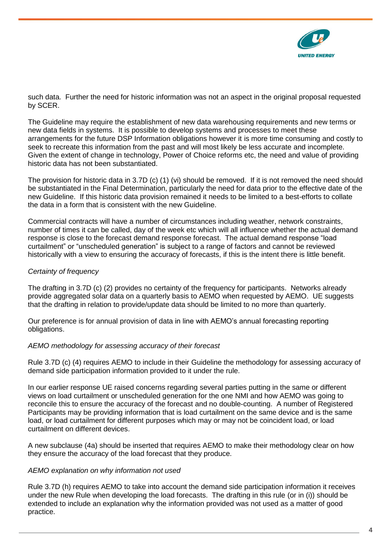

such data. Further the need for historic information was not an aspect in the original proposal requested by SCER.

The Guideline may require the establishment of new data warehousing requirements and new terms or new data fields in systems. It is possible to develop systems and processes to meet these arrangements for the future DSP Information obligations however it is more time consuming and costly to seek to recreate this information from the past and will most likely be less accurate and incomplete. Given the extent of change in technology, Power of Choice reforms etc, the need and value of providing historic data has not been substantiated.

The provision for historic data in 3.7D (c) (1) (vi) should be removed. If it is not removed the need should be substantiated in the Final Determination, particularly the need for data prior to the effective date of the new Guideline. If this historic data provision remained it needs to be limited to a best-efforts to collate the data in a form that is consistent with the new Guideline.

Commercial contracts will have a number of circumstances including weather, network constraints, number of times it can be called, day of the week etc which will all influence whether the actual demand response is close to the forecast demand response forecast. The actual demand response "load curtailment" or "unscheduled generation" is subject to a range of factors and cannot be reviewed historically with a view to ensuring the accuracy of forecasts, if this is the intent there is little benefit.

# *Certainty of frequency*

The drafting in 3.7D (c) (2) provides no certainty of the frequency for participants. Networks already provide aggregated solar data on a quarterly basis to AEMO when requested by AEMO. UE suggests that the drafting in relation to provide/update data should be limited to no more than quarterly.

Our preference is for annual provision of data in line with AEMO's annual forecasting reporting obligations.

# *AEMO methodology for assessing accuracy of their forecast*

Rule 3.7D (c) (4) requires AEMO to include in their Guideline the methodology for assessing accuracy of demand side participation information provided to it under the rule.

In our earlier response UE raised concerns regarding several parties putting in the same or different views on load curtailment or unscheduled generation for the one NMI and how AEMO was going to reconcile this to ensure the accuracy of the forecast and no double-counting. A number of Registered Participants may be providing information that is load curtailment on the same device and is the same load, or load curtailment for different purposes which may or may not be coincident load, or load curtailment on different devices.

A new subclause (4a) should be inserted that requires AEMO to make their methodology clear on how they ensure the accuracy of the load forecast that they produce.

# *AEMO explanation on why information not used*

Rule 3.7D (h) requires AEMO to take into account the demand side participation information it receives under the new Rule when developing the load forecasts. The drafting in this rule (or in (i)) should be extended to include an explanation why the information provided was not used as a matter of good practice.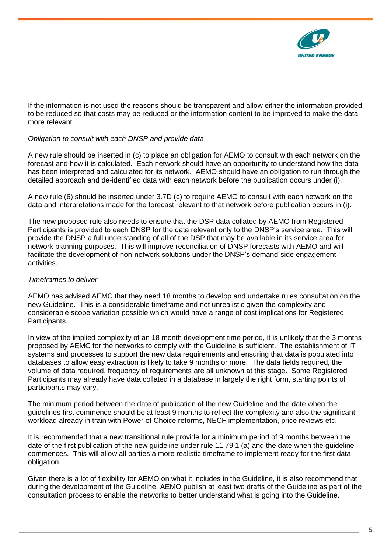

If the information is not used the reasons should be transparent and allow either the information provided to be reduced so that costs may be reduced or the information content to be improved to make the data more relevant.

# *Obligation to consult with each DNSP and provide data*

A new rule should be inserted in (c) to place an obligation for AEMO to consult with each network on the forecast and how it is calculated. Each network should have an opportunity to understand how the data has been interpreted and calculated for its network. AEMO should have an obligation to run through the detailed approach and de-identified data with each network before the publication occurs under (i).

A new rule (6) should be inserted under 3.7D (c) to require AEMO to consult with each network on the data and interpretations made for the forecast relevant to that network before publication occurs in (i).

The new proposed rule also needs to ensure that the DSP data collated by AEMO from Registered Participants is provided to each DNSP for the data relevant only to the DNSP's service area. This will provide the DNSP a full understanding of all of the DSP that may be available in its service area for network planning purposes. This will improve reconciliation of DNSP forecasts with AEMO and will facilitate the development of non-network solutions under the DNSP's demand-side engagement activities.

#### *Timeframes to deliver*

AEMO has advised AEMC that they need 18 months to develop and undertake rules consultation on the new Guideline. This is a considerable timeframe and not unrealistic given the complexity and considerable scope variation possible which would have a range of cost implications for Registered Participants.

In view of the implied complexity of an 18 month development time period, it is unlikely that the 3 months proposed by AEMC for the networks to comply with the Guideline is sufficient. The establishment of IT systems and processes to support the new data requirements and ensuring that data is populated into databases to allow easy extraction is likely to take 9 months or more. The data fields required, the volume of data required, frequency of requirements are all unknown at this stage. Some Registered Participants may already have data collated in a database in largely the right form, starting points of participants may vary.

The minimum period between the date of publication of the new Guideline and the date when the guidelines first commence should be at least 9 months to reflect the complexity and also the significant workload already in train with Power of Choice reforms, NECF implementation, price reviews etc.

It is recommended that a new transitional rule provide for a minimum period of 9 months between the date of the first publication of the new guideline under rule 11.79.1 (a) and the date when the guideline commences. This will allow all parties a more realistic timeframe to implement ready for the first data obligation.

Given there is a lot of flexibility for AEMO on what it includes in the Guideline, it is also recommend that during the development of the Guideline, AEMO publish at least two drafts of the Guideline as part of the consultation process to enable the networks to better understand what is going into the Guideline.